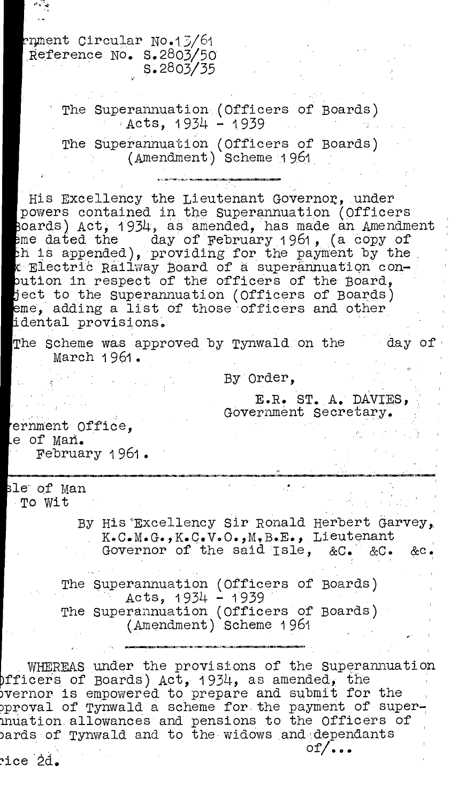nMent Circular No.1.5/61 Reference No. S.2803/50 S.2803/35

> The Superannuation (Officers of Boards)  $ACts$ , 1934 - 1939

The Superannuation (Officers of Boards) (Amendment) Scheme 1961.

His Excellency the Lieutenant Governor, under powers contained in the Superannuation (Officers oards) Act, 1934, as amended, has made an Amendment me dated the clay of February 1961, (a copy of h i8 appended), providing for the payment by the ElectriC Railway Board of a superannuation conution in respect of the officers of the Board, ject to the Superannuation (Officers of Boards) eme, adding a list of those officers and other 'dental provisions,

The Scheme was approved by Tynwald on the day of March 1961 .

By Order,

E.R. ST. A. DAVIES, Government secretarYs

ernment Office, e of man. February 1961.

le of Man To Wit

> By His'Excellency Sir Ronald Herbert Garvey,, . K.C.M.G.,K.C.V.O.,M,B.E., Lieutenant Governor of the said Isle, &C. &C. &c.

The Superannuation (Officers of Boards) Acts,  $1934 - 1939$ The Superannuation (Officers of Boards) (Amendment) Scheme 1961

.WHEREAS under the provisions of the Superannuation fficers of Boards) Act, 1934, as amended, the )vernor is empowered to prepare and submit for the pproval of Tynwald a scheme for the payment of super-Indation.allowances and pensions to the Officers of ) ards of Tynwald and to the widows and dependants  $of/\ldots$ ?ice 2d.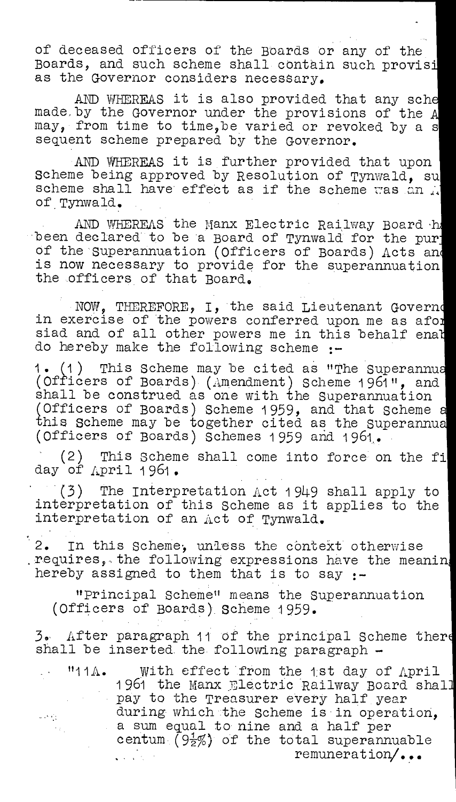of deceased officers of the Boards or any of the Boards, and such scheme shall contain such provisi as the Governor considers necessary.

AND WHEREAS it is also provided that any sche made, by the Governor under the provisions of the A may, from time to time,be varied or revoked by a s sequent scheme prepared by the Governor.

AND WHEREAS it is further provided that upon Scheme being approved by Resolution of Tynwald, su scheme shall have effect as if the scheme was an  $\mathcal{A}$ of. Tynwald.

AND WHEREAS the Manx Electric Railway Board .h been declared to be 'a Board of Tynwald for the pur of the superannuation (Officers of Boards) Acts and is now necessary to provide for the superannuation the officers of that Board.

NOW, THEREFORE, I, the said Lieutenant Govern in exercise of the powers conferred upon me as afor siad and of all other powers me in this behalf enat do hereby make the following scheme :-

1. 1) This Scheme may be cited as "The Superannu (Officers of Boards) (Amendment) Scheme 1961", and shall be construed as one with the Superannuation (Officers of Boards) Scheme 1959, and that Scheme this Scheme may be together cited as the Superannu (Officers of Boards) Schemes 1 959 and 196t..

' (2) This Scheme shall come into force on the fi day of April 1961.

 $(3)$  The Interpretation Act 1949 shall apply to interpretation of this Scheme as it applies to the interpretation of an Act of Tynwald.

'2. In this Scheme; unless the context otherwise .requires, ,the following expressions have the meanin hereby assigned to them that is to say  $:-$ 

"principal Scheme" means the Superannuation (Officers of Boards), Scheme 1959.

After paragraph 11 of the principal Scheme ther shall be inserted the following paragraph -

. "11A. With effect from the 1st day of April 1961 the Manx Electric Railway Board shall pay to the Treasurer every half year during which the Scheme is in operation.  $\omega \in \mathcal{C}_{\mathcal{M}}$  .  $\delta\phi_{\rm{max}}$ a sum equal to nine and a half per centum (9 $\frac{1}{2}\%$ ) of the total superannuable remuneration/... a sa Si